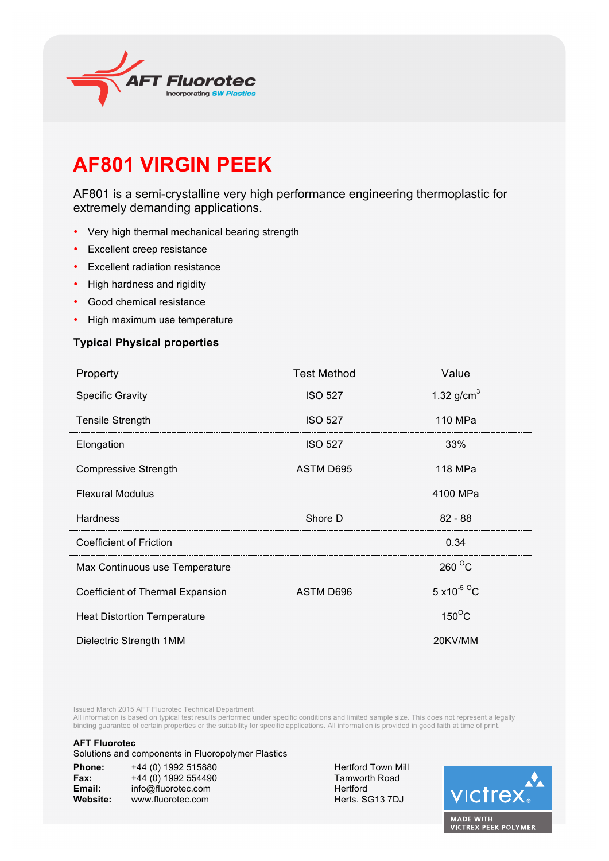

# **AF801 VIRGIN PEEK**

AF801 is a semi-crystalline very high performance engineering thermoplastic for extremely demanding applications.

- Very high thermal mechanical bearing strength
- Excellent creep resistance
- Excellent radiation resistance
- High hardness and rigidity
- Good chemical resistance
- High maximum use temperature

### **Typical Physical properties**

| Property                           | <b>Test Method</b> | Value                             |  |
|------------------------------------|--------------------|-----------------------------------|--|
| <b>Specific Gravity</b>            | <b>ISO 527</b>     | 1.32 $g/cm3$                      |  |
| <b>Tensile Strength</b>            | <b>ISO 527</b>     | 110 MPa                           |  |
| Elongation                         | <b>ISO 527</b>     | 33%                               |  |
| <b>Compressive Strength</b>        | ASTM D695          | 118 MPa                           |  |
| <b>Flexural Modulus</b>            |                    | 4100 MPa                          |  |
| <b>Hardness</b>                    | Shore D            | $82 - 88$                         |  |
| <b>Coefficient of Friction</b>     |                    | 0.34                              |  |
| Max Continuous use Temperature     |                    | $260^{\circ}$ C                   |  |
| Coefficient of Thermal Expansion   | ASTM D696          | $5 \times 10^{-5}$ <sup>o</sup> C |  |
| <b>Heat Distortion Temperature</b> |                    | $150^{\circ}$ C                   |  |
| Dielectric Strength 1MM            |                    | 20KV/MM                           |  |

Issued March 2015 AFT Fluorotec Technical Department

All information is based on typical test results performed under specific conditions and limited sample size. This does not represent a legally binding guarantee of certain properties or the suitability for specific applications. All information is provided in good faith at time of print.

#### **AFT Fluorotec**

Solutions and components in Fluoropolymer Plastics

| Phone:   | +44 (0) 1992 515880 |
|----------|---------------------|
| Fax:     | +44 (0) 1992 554490 |
| Email:   | info@fluorotec.com  |
| Website: | www.fluorotec.com   |

**Hertford Town Mill Tamworth Road Hertford** Herts. SG13 7DJ